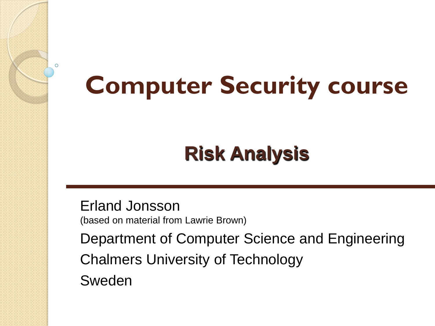### **Computer Security course**

#### **Risk Analysis**

Erland Jonsson (based on material from Lawrie Brown)

Department of Computer Science and Engineering Chalmers University of Technology Sweden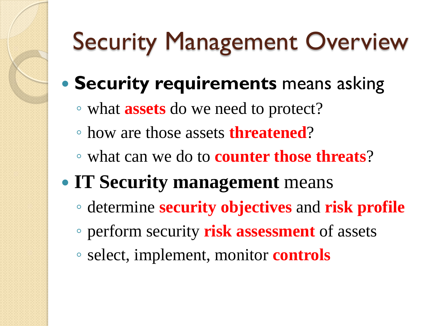## Security Management Overview

- **Security requirements** means asking
	- what **assets** do we need to protect?
	- how are those assets **threatened**?
	- what can we do to **counter those threats**?
- **IT Security management** means
	- determine **security objectives** and **risk profile**
	- perform security **risk assessment** of assets
	- select, implement, monitor **controls**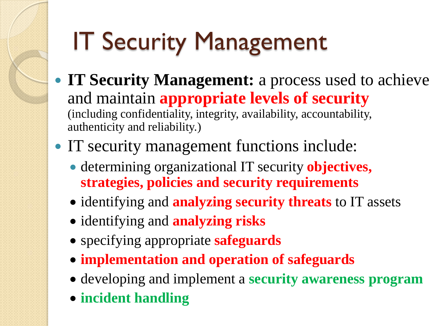## IT Security Management

- **IT Security Management:** a process used to achieve and maintain **appropriate levels of security**  (including confidentiality, integrity, availability, accountability, authenticity and reliability.)
- IT security management functions include:
	- determining organizational IT security **objectives, strategies, policies and security requirements**
	- identifying and **analyzing security threats** to IT assets
	- identifying and **analyzing risks**
	- specifying appropriate **safeguards**
	- **implementation and operation of safeguards**
	- developing and implement a **security awareness program**
	- **incident handling**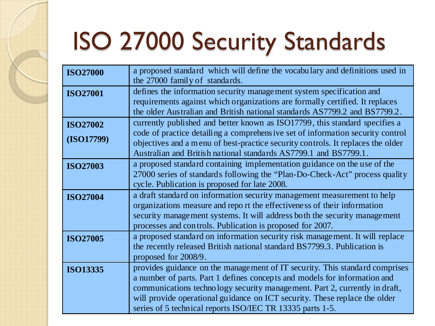## ISO 27000 Security Standards

| <b>ISO27000</b>               | a proposed standard which will define the vocabulary and definitions used in<br>the 27000 family of standards.                                                                                                                                                                                                                                                                    |
|-------------------------------|-----------------------------------------------------------------------------------------------------------------------------------------------------------------------------------------------------------------------------------------------------------------------------------------------------------------------------------------------------------------------------------|
| <b>ISO27001</b>               | defines the information security management system specification and<br>requirements against which organizations are formally certified. It replaces<br>the older Australian and British national standards AS7799.2 and BS7799.2.                                                                                                                                                |
| <b>ISO27002</b><br>(ISO17799) | currently published and better known as ISO17799, this standard specifies a<br>code of practice detailing a comprehensive set of information security control<br>objectives and a menu of best-practice security controls. It replaces the older<br>Australian and British national standards AS7799.1 and BS7799.1.                                                              |
| <b>ISO27003</b>               | a proposed standard containing implementation guidance on the use of the<br>27000 series of standards following the "Plan-Do-Check-Act" process quality<br>cycle. Publication is proposed for late 2008.                                                                                                                                                                          |
| <b>ISO27004</b>               | a draft standard on information security management measurement to help<br>organizations measure and report the effectiveness of their information<br>security management systems. It will address both the security management<br>processes and controls. Publication is proposed for 2007.                                                                                      |
| <b>ISO27005</b>               | a proposed standard on information security risk management. It will replace<br>the recently released British national standard BS7799.3. Publication is<br>proposed for 2008/9.                                                                                                                                                                                                  |
| <b>ISO13335</b>               | provides guidance on the management of IT security. This standard comprises<br>a number of parts. Part 1 defines concepts and models for information and<br>communications technology security management. Part 2, currently in draft,<br>will provide operational guidance on ICT security. These replace the older<br>series of 5 technical reports ISO/IEC TR 13335 parts 1-5. |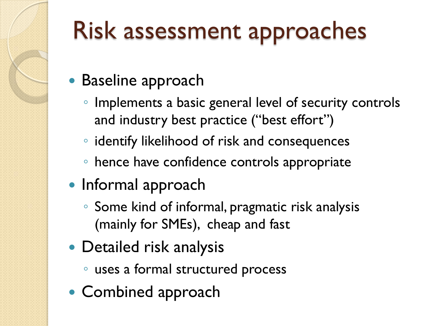#### Risk assessment approaches

- Baseline approach
	- Implements a basic general level of security controls and industry best practice ("best effort")
	- identify likelihood of risk and consequences
	- hence have confidence controls appropriate
- Informal approach
	- Some kind of informal, pragmatic risk analysis (mainly for SMEs), cheap and fast
- Detailed risk analysis
	- uses a formal structured process
- Combined approach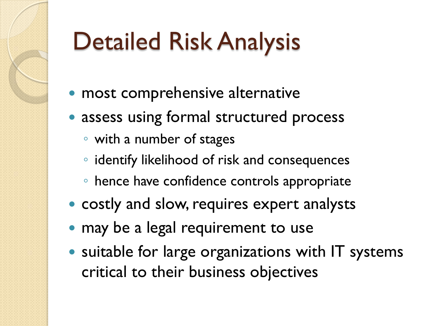## Detailed Risk Analysis

- most comprehensive alternative
- assess using formal structured process
	- with a number of stages
	- identify likelihood of risk and consequences
	- hence have confidence controls appropriate
- costly and slow, requires expert analysts
- may be a legal requirement to use
- suitable for large organizations with IT systems critical to their business objectives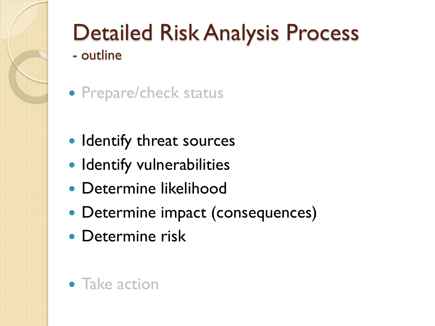

# Detailed Risk Analysis Process

- outline
- Prepare/check status
- Identify threat sources
- Identify vulnerabilities
- Determine likelihood
- Determine impact (consequences)
- Determine risk
- Take action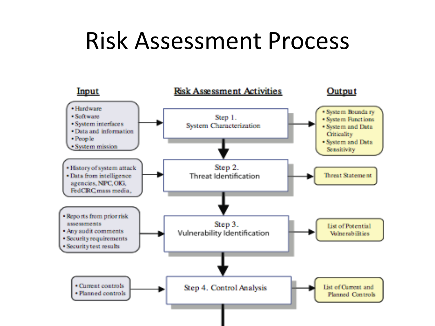#### Risk Assessment Process

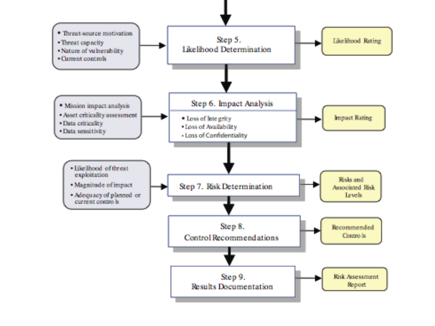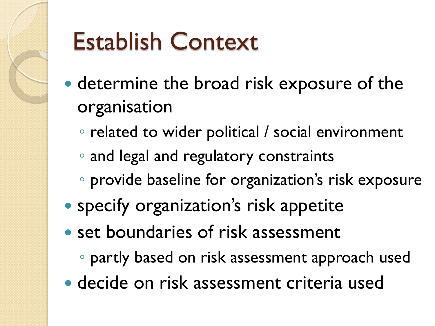

#### Establish Context

- determine the broad risk exposure of the organisation
	- related to wider political / social environment
	- and legal and regulatory constraints
	- provide baseline for organization's risk exposure
- specify organization's risk appetite
- set boundaries of risk assessment
	- partly based on risk assessment approach used
- decide on risk assessment criteria used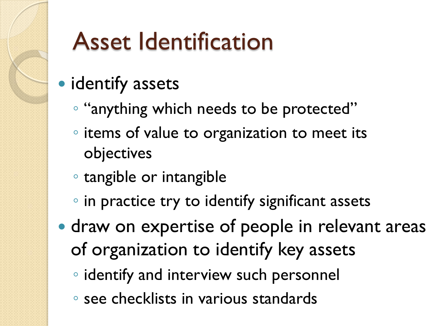#### Asset Identification

#### • identify assets

- "anything which needs to be protected"
- items of value to organization to meet its objectives
- tangible or intangible
- in practice try to identify significant assets
- draw on expertise of people in relevant areas of organization to identify key assets
	- identify and interview such personnel
	- see checklists in various standards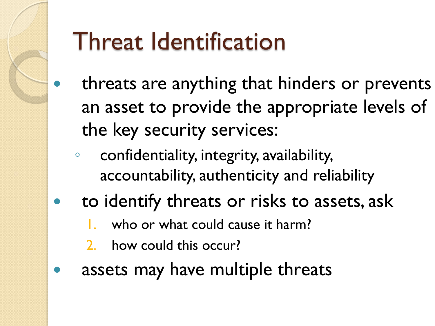### Threat Identification

- threats are anything that hinders or prevents an asset to provide the appropriate levels of the key security services:
- confidentiality, integrity, availability, accountability, authenticity and reliability
- to identify threats or risks to assets, ask
	- who or what could cause it harm?
	- 2. how could this occur?
- assets may have multiple threats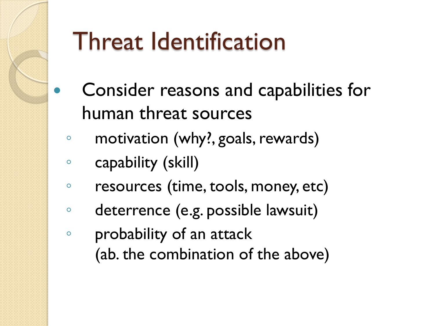#### Threat Identification

- Consider reasons and capabilities for human threat sources
- motivation (why?, goals, rewards)
- capability (skill)
- resources (time, tools, money, etc)
- deterrence (e.g. possible lawsuit)
- probability of an attack (ab. the combination of the above)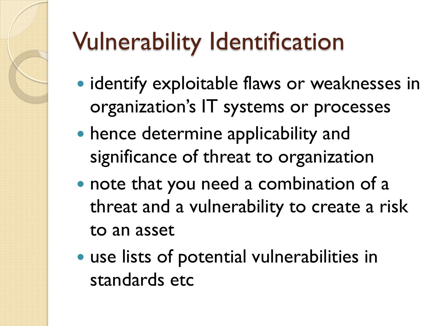# Vulnerability Identification

- identify exploitable flaws or weaknesses in organization's IT systems or processes
- hence determine applicability and significance of threat to organization
- note that you need a combination of a threat and a vulnerability to create a risk to an asset
- use lists of potential vulnerabilities in standards etc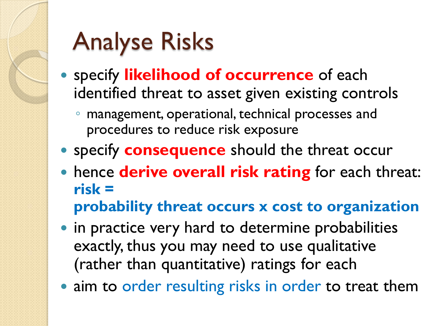### Analyse Risks

- specify **likelihood of occurrence** of each identified threat to asset given existing controls
	- management, operational, technical processes and procedures to reduce risk exposure
- **specify consequence** should the threat occur
- hence **derive overall risk rating** for each threat: **risk =** 
	- **probability threat occurs x cost to organization**
- in practice very hard to determine probabilities exactly, thus you may need to use qualitative (rather than quantitative) ratings for each
- aim to order resulting risks in order to treat them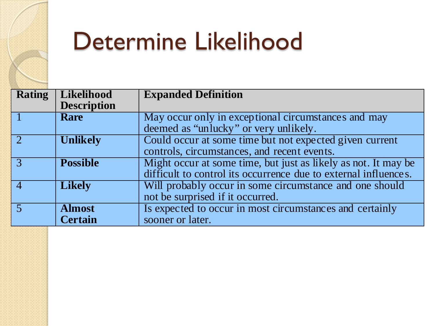

#### Determine Likelihood

| <b>Rating</b> | Likelihood         | <b>Expanded Definition</b>                                      |  |  |
|---------------|--------------------|-----------------------------------------------------------------|--|--|
|               | <b>Description</b> |                                                                 |  |  |
|               | <b>Rare</b>        | May occur only in exceptional circumstances and may             |  |  |
|               |                    | deemed as "unlucky" or very unlikely.                           |  |  |
|               | <b>Unlikely</b>    | Could occur at some time but not expected given current         |  |  |
|               |                    | controls, circumstances, and recent events.                     |  |  |
|               | <b>Possible</b>    | Might occur at some time, but just as likely as not. It may be  |  |  |
|               |                    | difficult to control its occurrence due to external influences. |  |  |
|               | <b>Likely</b>      | Will probably occur in some circumstance and one should         |  |  |
|               |                    | not be surprised if it occurred.                                |  |  |
|               | <b>Almost</b>      | Is expected to occur in most circumstances and certainly        |  |  |
|               | <b>Certain</b>     | sooner or later.                                                |  |  |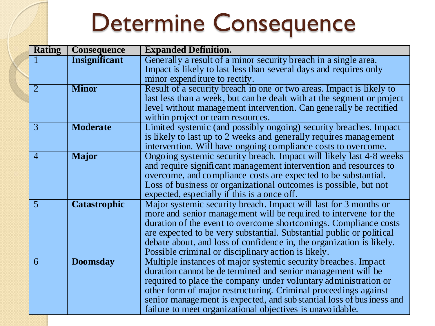#### Determine Consequence

| <b>Rating</b>  | <b>Consequence</b>   | <b>Expanded Definition.</b>                                            |
|----------------|----------------------|------------------------------------------------------------------------|
|                | <b>Insignificant</b> | Generally a result of a minor security breach in a single area.        |
|                |                      | Impact is likely to last less than several days and requires only      |
|                |                      | minor expenditure to rectify.                                          |
| $\overline{2}$ | <b>Minor</b>         | Result of a security breach in one or two areas. Impact is likely to   |
|                |                      | last less than a week, but can be dealt with at the segment or project |
|                |                      | level without management intervention. Can gene rally be rectified     |
|                |                      | within project or team resources.                                      |
| $\overline{3}$ | <b>Moderate</b>      | Limited systemic (and possibly ongoing) security breaches. Impact      |
|                |                      | is likely to last up to 2 weeks and generally requires management      |
|                |                      | intervention. Will have ongoing compliance costs to overcome.          |
| $\overline{4}$ | <b>Major</b>         | Ongoing systemic security breach. Impact will likely last 4-8 weeks    |
|                |                      | and require significant management intervention and resources to       |
|                |                      | overcome, and compliance costs are expected to be substantial.         |
|                |                      | Loss of business or organizational outcomes is possible, but not       |
|                |                      | expected, especially if this is a once off.                            |
| 5              | <b>Catastrophic</b>  | Major systemic security breach. Impact will last for 3 months or       |
|                |                      | more and senior management will be required to intervene for the       |
|                |                      | duration of the event to overcome shortcomings. Compliance costs       |
|                |                      | are expected to be very substantial. Substantial public or political   |
|                |                      | debate about, and loss of confidence in, the organization is likely.   |
|                |                      | Possible criminal or disciplinary action is likely.                    |
| 6              | <b>Doomsday</b>      | Multiple instances of major systemic security breaches. Impact         |
|                |                      | duration cannot be de termined and senior management will be           |
|                |                      | required to place the company under voluntary administration or        |
|                |                      | other form of major restructuring. Criminal proceedings against        |
|                |                      | senior management is expected, and sub stantial loss of bus iness and  |
|                |                      | failure to meet organizational objectives is unavoidable.              |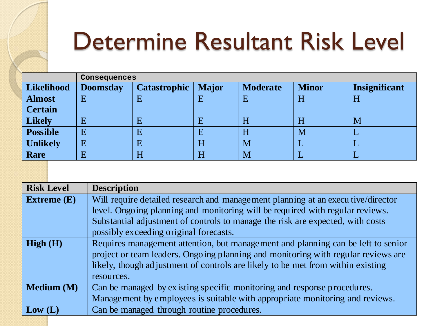#### Determine Resultant Risk Level

|                   | Consequences    |                     |              |                 |              |               |  |
|-------------------|-----------------|---------------------|--------------|-----------------|--------------|---------------|--|
| <b>Likelihood</b> | <b>Doomsday</b> | <b>Catastrophic</b> | <b>Major</b> | <b>Moderate</b> | <b>Minor</b> | Insignificant |  |
| <b>Almost</b>     | E               | E                   |              | E               | H            | H             |  |
| <b>Certain</b>    |                 |                     |              |                 |              |               |  |
| <b>Likely</b>     | Ε               | E                   |              | H               | п            | M             |  |
| <b>Possible</b>   | E               | E                   |              | H               | M            |               |  |
| <b>Unlikely</b>   | E               | E                   | H            | M               |              | ப             |  |
| <b>Rare</b>       | E               | H                   | H            | M               |              |               |  |

| <b>Risk Level</b> | <b>Description</b>                                                                |  |  |  |  |
|-------------------|-----------------------------------------------------------------------------------|--|--|--|--|
| Extreme $(E)$     | Will require detailed research and management planning at an executive/director   |  |  |  |  |
|                   | level. Ongoing planning and monitoring will be required with regular reviews.     |  |  |  |  |
|                   | Substantial adjustment of controls to manage the risk are expected, with costs    |  |  |  |  |
|                   | possibly exceeding original forecasts.                                            |  |  |  |  |
| High(H)           | Requires management attention, but management and planning can be left to senior  |  |  |  |  |
|                   | project or team leaders. Ongoing planning and monitoring with regular reviews are |  |  |  |  |
|                   | likely, though adjustment of controls are likely to be met from within existing   |  |  |  |  |
|                   | resources.                                                                        |  |  |  |  |
| Medium (M)        | Can be managed by existing specific monitoring and response procedures.           |  |  |  |  |
|                   | Management by employees is suitable with appropriate monitoring and reviews.      |  |  |  |  |
| Low (L)           | Can be managed through routine procedures.                                        |  |  |  |  |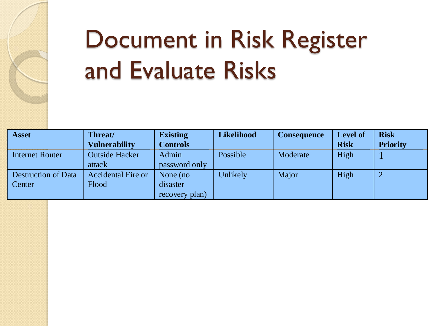

## Document in Risk Register and Evaluate Risks

| <b>Asset</b>        | Threat/                   | <b>Existing</b> | Likelihood | <b>Consequence</b> | <b>Level of</b> | <b>Risk</b>     |
|---------------------|---------------------------|-----------------|------------|--------------------|-----------------|-----------------|
|                     | <b>Vulnerability</b>      | <b>Controls</b> |            |                    | <b>Risk</b>     | <b>Priority</b> |
| Internet Router     | <b>Outside Hacker</b>     | Admin           | Possible   | Moderate           | High            |                 |
|                     | attack                    | password only   |            |                    |                 |                 |
| Destruction of Data | <b>Accidental Fire or</b> | None (no        | Unlikely/  | Major              | High            |                 |
| Center              | Flood                     | disaster        |            |                    |                 |                 |
|                     |                           | recovery plan)  |            |                    |                 |                 |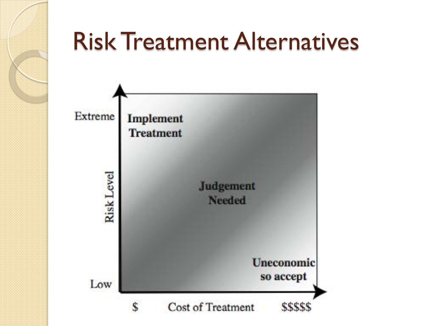

#### Risk Treatment Alternatives

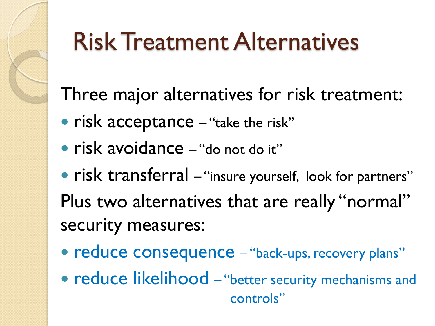#### Risk Treatment Alternatives

Three major alternatives for risk treatment:

- risk acceptance "take the risk"
- risk avoidance "do not do it"
- risk transferral "insure yourself, look for partners" Plus two alternatives that are really "normal" security measures:
- reduce consequence "back-ups, recovery plans"
- reduce likelihood "better security mechanisms and controls"